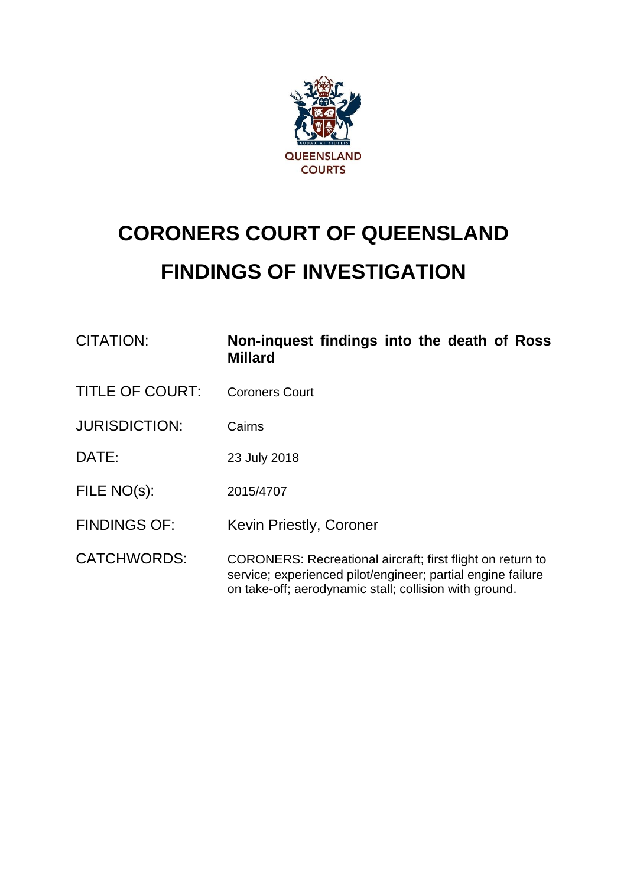

# **CORONERS COURT OF QUEENSLAND FINDINGS OF INVESTIGATION**

| <b>CITATION:</b>       | Non-inquest findings into the death of Ross<br><b>Millard</b>                                                             |
|------------------------|---------------------------------------------------------------------------------------------------------------------------|
| <b>TITLE OF COURT:</b> | <b>Coroners Court</b>                                                                                                     |
| <b>JURISDICTION:</b>   | Cairns                                                                                                                    |
| DATE:                  | 23 July 2018                                                                                                              |
| FILE NO(s):            | 2015/4707                                                                                                                 |
| <b>FINDINGS OF:</b>    | Kevin Priestly, Coroner                                                                                                   |
| <b>CATCHWORDS:</b>     | CORONERS: Recreational aircraft; first flight on return to<br>service; experienced pilot/engineer; partial engine failure |

on take-off; aerodynamic stall; collision with ground.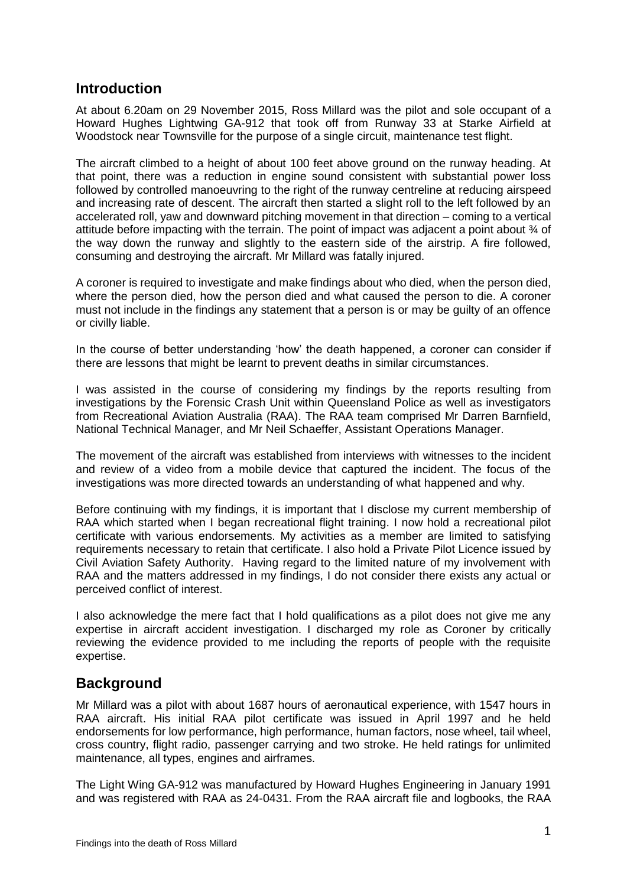#### **Introduction**

At about 6.20am on 29 November 2015, Ross Millard was the pilot and sole occupant of a Howard Hughes Lightwing GA-912 that took off from Runway 33 at Starke Airfield at Woodstock near Townsville for the purpose of a single circuit, maintenance test flight.

The aircraft climbed to a height of about 100 feet above ground on the runway heading. At that point, there was a reduction in engine sound consistent with substantial power loss followed by controlled manoeuvring to the right of the runway centreline at reducing airspeed and increasing rate of descent. The aircraft then started a slight roll to the left followed by an accelerated roll, yaw and downward pitching movement in that direction – coming to a vertical attitude before impacting with the terrain. The point of impact was adiacent a point about  $\frac{3}{4}$  of the way down the runway and slightly to the eastern side of the airstrip. A fire followed, consuming and destroying the aircraft. Mr Millard was fatally injured.

A coroner is required to investigate and make findings about who died, when the person died, where the person died, how the person died and what caused the person to die. A coroner must not include in the findings any statement that a person is or may be guilty of an offence or civilly liable.

In the course of better understanding 'how' the death happened, a coroner can consider if there are lessons that might be learnt to prevent deaths in similar circumstances.

I was assisted in the course of considering my findings by the reports resulting from investigations by the Forensic Crash Unit within Queensland Police as well as investigators from Recreational Aviation Australia (RAA). The RAA team comprised Mr Darren Barnfield, National Technical Manager, and Mr Neil Schaeffer, Assistant Operations Manager.

The movement of the aircraft was established from interviews with witnesses to the incident and review of a video from a mobile device that captured the incident. The focus of the investigations was more directed towards an understanding of what happened and why.

Before continuing with my findings, it is important that I disclose my current membership of RAA which started when I began recreational flight training. I now hold a recreational pilot certificate with various endorsements. My activities as a member are limited to satisfying requirements necessary to retain that certificate. I also hold a Private Pilot Licence issued by Civil Aviation Safety Authority. Having regard to the limited nature of my involvement with RAA and the matters addressed in my findings, I do not consider there exists any actual or perceived conflict of interest.

I also acknowledge the mere fact that I hold qualifications as a pilot does not give me any expertise in aircraft accident investigation. I discharged my role as Coroner by critically reviewing the evidence provided to me including the reports of people with the requisite expertise.

#### **Background**

Mr Millard was a pilot with about 1687 hours of aeronautical experience, with 1547 hours in RAA aircraft. His initial RAA pilot certificate was issued in April 1997 and he held endorsements for low performance, high performance, human factors, nose wheel, tail wheel, cross country, flight radio, passenger carrying and two stroke. He held ratings for unlimited maintenance, all types, engines and airframes.

The Light Wing GA-912 was manufactured by Howard Hughes Engineering in January 1991 and was registered with RAA as 24-0431. From the RAA aircraft file and logbooks, the RAA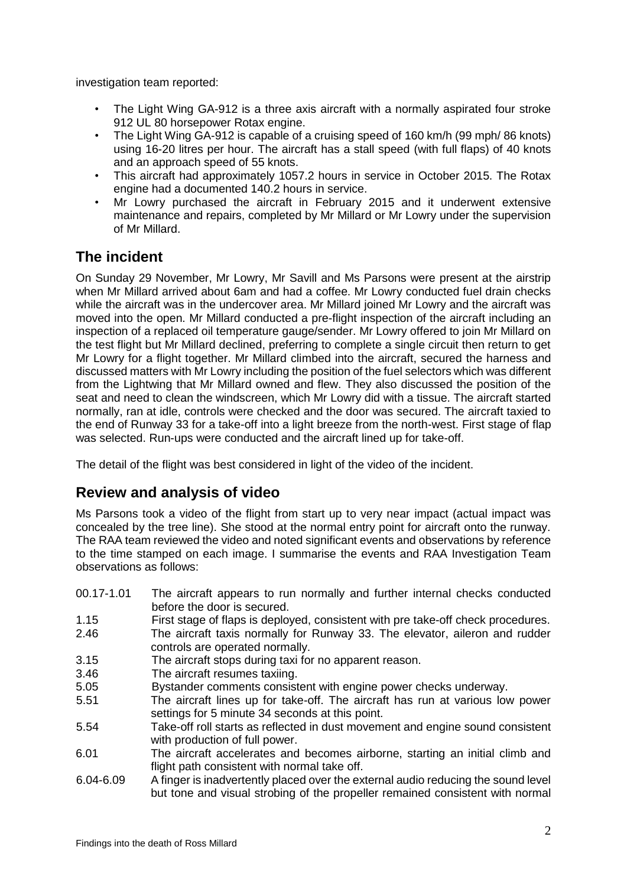investigation team reported:

- The Light Wing GA-912 is a three axis aircraft with a normally aspirated four stroke 912 UL 80 horsepower Rotax engine.
- The Light Wing GA-912 is capable of a cruising speed of 160 km/h (99 mph/ 86 knots) using 16-20 litres per hour. The aircraft has a stall speed (with full flaps) of 40 knots and an approach speed of 55 knots.
- This aircraft had approximately 1057.2 hours in service in October 2015. The Rotax engine had a documented 140.2 hours in service.
- Mr Lowry purchased the aircraft in February 2015 and it underwent extensive maintenance and repairs, completed by Mr Millard or Mr Lowry under the supervision of Mr Millard.

## **The incident**

On Sunday 29 November, Mr Lowry, Mr Savill and Ms Parsons were present at the airstrip when Mr Millard arrived about 6am and had a coffee. Mr Lowry conducted fuel drain checks while the aircraft was in the undercover area. Mr Millard joined Mr Lowry and the aircraft was moved into the open. Mr Millard conducted a pre-flight inspection of the aircraft including an inspection of a replaced oil temperature gauge/sender. Mr Lowry offered to join Mr Millard on the test flight but Mr Millard declined, preferring to complete a single circuit then return to get Mr Lowry for a flight together. Mr Millard climbed into the aircraft, secured the harness and discussed matters with Mr Lowry including the position of the fuel selectors which was different from the Lightwing that Mr Millard owned and flew. They also discussed the position of the seat and need to clean the windscreen, which Mr Lowry did with a tissue. The aircraft started normally, ran at idle, controls were checked and the door was secured. The aircraft taxied to the end of Runway 33 for a take-off into a light breeze from the north-west. First stage of flap was selected. Run-ups were conducted and the aircraft lined up for take-off.

The detail of the flight was best considered in light of the video of the incident.

## **Review and analysis of video**

Ms Parsons took a video of the flight from start up to very near impact (actual impact was concealed by the tree line). She stood at the normal entry point for aircraft onto the runway. The RAA team reviewed the video and noted significant events and observations by reference to the time stamped on each image. I summarise the events and RAA Investigation Team observations as follows:

- 00.17-1.01 The aircraft appears to run normally and further internal checks conducted before the door is secured.
- 1.15 First stage of flaps is deployed, consistent with pre take-off check procedures.
- 2.46 The aircraft taxis normally for Runway 33. The elevator, aileron and rudder controls are operated normally.
- 3.15 The aircraft stops during taxi for no apparent reason.
- 3.46 The aircraft resumes taxiing.
- 5.05 Bystander comments consistent with engine power checks underway.
- 5.51 The aircraft lines up for take-off. The aircraft has run at various low power settings for 5 minute 34 seconds at this point.
- 5.54 Take-off roll starts as reflected in dust movement and engine sound consistent with production of full power.
- 6.01 The aircraft accelerates and becomes airborne, starting an initial climb and flight path consistent with normal take off.
- 6.04-6.09 A finger is inadvertently placed over the external audio reducing the sound level but tone and visual strobing of the propeller remained consistent with normal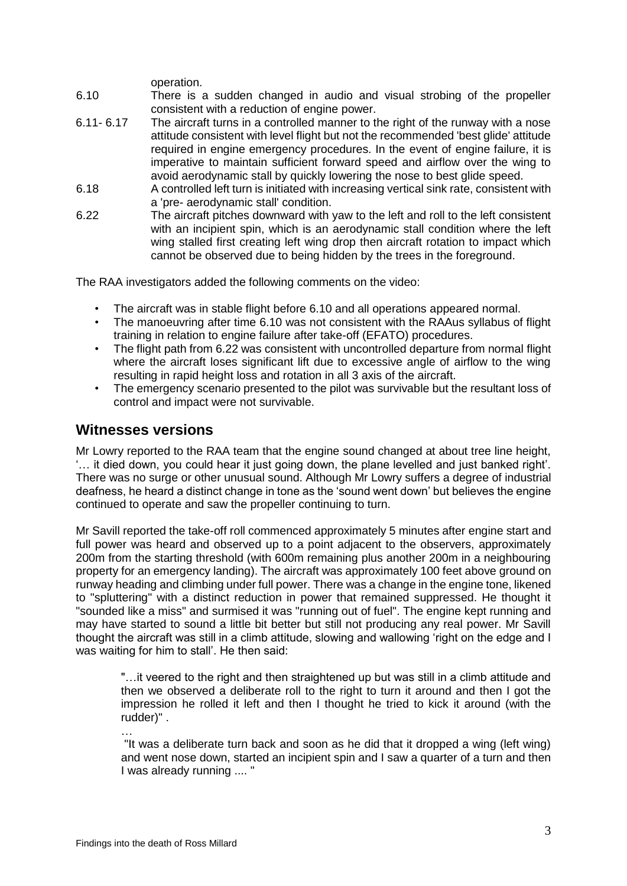operation.

- 6.10 There is a sudden changed in audio and visual strobing of the propeller consistent with a reduction of engine power.
- 6.11- 6.17 The aircraft turns in a controlled manner to the right of the runway with a nose attitude consistent with level flight but not the recommended 'best glide' attitude required in engine emergency procedures. In the event of engine failure, it is imperative to maintain sufficient forward speed and airflow over the wing to avoid aerodynamic stall by quickly lowering the nose to best glide speed.
- 6.18 A controlled left turn is initiated with increasing vertical sink rate, consistent with a 'pre- aerodynamic stall' condition.
- 6.22 The aircraft pitches downward with yaw to the left and roll to the left consistent with an incipient spin, which is an aerodynamic stall condition where the left wing stalled first creating left wing drop then aircraft rotation to impact which cannot be observed due to being hidden by the trees in the foreground.

The RAA investigators added the following comments on the video:

- The aircraft was in stable flight before 6.10 and all operations appeared normal.
- The manoeuvring after time 6.10 was not consistent with the RAAus syllabus of flight training in relation to engine failure after take-off (EFATO) procedures.
- The flight path from 6.22 was consistent with uncontrolled departure from normal flight where the aircraft loses significant lift due to excessive angle of airflow to the wing resulting in rapid height loss and rotation in all 3 axis of the aircraft.
- The emergency scenario presented to the pilot was survivable but the resultant loss of control and impact were not survivable.

#### **Witnesses versions**

Mr Lowry reported to the RAA team that the engine sound changed at about tree line height, '… it died down, you could hear it just going down, the plane levelled and just banked right'. There was no surge or other unusual sound. Although Mr Lowry suffers a degree of industrial deafness, he heard a distinct change in tone as the 'sound went down' but believes the engine continued to operate and saw the propeller continuing to turn.

Mr Savill reported the take-off roll commenced approximately 5 minutes after engine start and full power was heard and observed up to a point adjacent to the observers, approximately 200m from the starting threshold (with 600m remaining plus another 200m in a neighbouring property for an emergency landing). The aircraft was approximately 100 feet above ground on runway heading and climbing under full power. There was a change in the engine tone, likened to "spluttering" with a distinct reduction in power that remained suppressed. He thought it "sounded like a miss" and surmised it was "running out of fuel". The engine kept running and may have started to sound a little bit better but still not producing any real power. Mr Savill thought the aircraft was still in a climb attitude, slowing and wallowing 'right on the edge and I was waiting for him to stall'. He then said:

"…it veered to the right and then straightened up but was still in a climb attitude and then we observed a deliberate roll to the right to turn it around and then I got the impression he rolled it left and then I thought he tried to kick it around (with the rudder)" .

… "It was a deliberate turn back and soon as he did that it dropped a wing (left wing) and went nose down, started an incipient spin and I saw a quarter of a turn and then I was already running .... "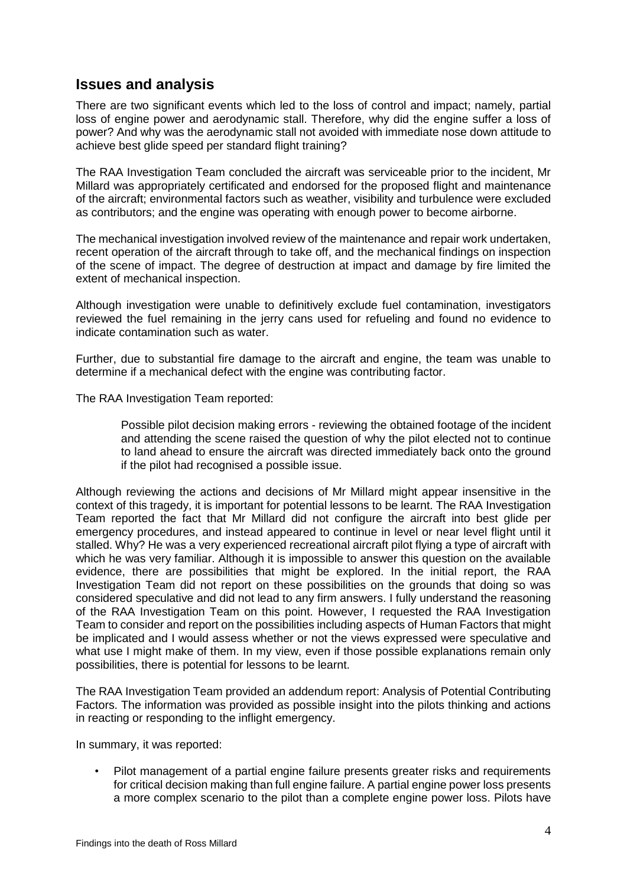### **Issues and analysis**

There are two significant events which led to the loss of control and impact; namely, partial loss of engine power and aerodynamic stall. Therefore, why did the engine suffer a loss of power? And why was the aerodynamic stall not avoided with immediate nose down attitude to achieve best glide speed per standard flight training?

The RAA Investigation Team concluded the aircraft was serviceable prior to the incident, Mr Millard was appropriately certificated and endorsed for the proposed flight and maintenance of the aircraft; environmental factors such as weather, visibility and turbulence were excluded as contributors; and the engine was operating with enough power to become airborne.

The mechanical investigation involved review of the maintenance and repair work undertaken, recent operation of the aircraft through to take off, and the mechanical findings on inspection of the scene of impact. The degree of destruction at impact and damage by fire limited the extent of mechanical inspection.

Although investigation were unable to definitively exclude fuel contamination, investigators reviewed the fuel remaining in the jerry cans used for refueling and found no evidence to indicate contamination such as water.

Further, due to substantial fire damage to the aircraft and engine, the team was unable to determine if a mechanical defect with the engine was contributing factor.

The RAA Investigation Team reported:

Possible pilot decision making errors - reviewing the obtained footage of the incident and attending the scene raised the question of why the pilot elected not to continue to land ahead to ensure the aircraft was directed immediately back onto the ground if the pilot had recognised a possible issue.

Although reviewing the actions and decisions of Mr Millard might appear insensitive in the context of this tragedy, it is important for potential lessons to be learnt. The RAA Investigation Team reported the fact that Mr Millard did not configure the aircraft into best glide per emergency procedures, and instead appeared to continue in level or near level flight until it stalled. Why? He was a very experienced recreational aircraft pilot flying a type of aircraft with which he was very familiar. Although it is impossible to answer this question on the available evidence, there are possibilities that might be explored. In the initial report, the RAA Investigation Team did not report on these possibilities on the grounds that doing so was considered speculative and did not lead to any firm answers. I fully understand the reasoning of the RAA Investigation Team on this point. However, I requested the RAA Investigation Team to consider and report on the possibilities including aspects of Human Factors that might be implicated and I would assess whether or not the views expressed were speculative and what use I might make of them. In my view, even if those possible explanations remain only possibilities, there is potential for lessons to be learnt.

The RAA Investigation Team provided an addendum report: Analysis of Potential Contributing Factors. The information was provided as possible insight into the pilots thinking and actions in reacting or responding to the inflight emergency.

In summary, it was reported:

• Pilot management of a partial engine failure presents greater risks and requirements for critical decision making than full engine failure. A partial engine power loss presents a more complex scenario to the pilot than a complete engine power loss. Pilots have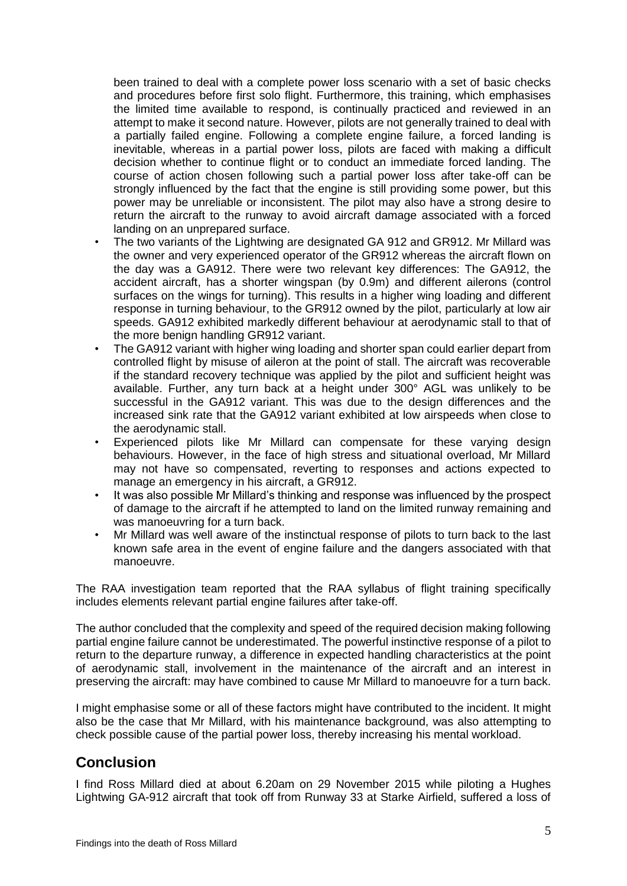been trained to deal with a complete power loss scenario with a set of basic checks and procedures before first solo flight. Furthermore, this training, which emphasises the limited time available to respond, is continually practiced and reviewed in an attempt to make it second nature. However, pilots are not generally trained to deal with a partially failed engine. Following a complete engine failure, a forced landing is inevitable, whereas in a partial power loss, pilots are faced with making a difficult decision whether to continue flight or to conduct an immediate forced landing. The course of action chosen following such a partial power loss after take-off can be strongly influenced by the fact that the engine is still providing some power, but this power may be unreliable or inconsistent. The pilot may also have a strong desire to return the aircraft to the runway to avoid aircraft damage associated with a forced landing on an unprepared surface.

- The two variants of the Lightwing are designated GA 912 and GR912. Mr Millard was the owner and very experienced operator of the GR912 whereas the aircraft flown on the day was a GA912. There were two relevant key differences: The GA912, the accident aircraft, has a shorter wingspan (by 0.9m) and different ailerons (control surfaces on the wings for turning). This results in a higher wing loading and different response in turning behaviour, to the GR912 owned by the pilot, particularly at low air speeds. GA912 exhibited markedly different behaviour at aerodynamic stall to that of the more benign handling GR912 variant.
- The GA912 variant with higher wing loading and shorter span could earlier depart from controlled flight by misuse of aileron at the point of stall. The aircraft was recoverable if the standard recovery technique was applied by the pilot and sufficient height was available. Further, any turn back at a height under 300° AGL was unlikely to be successful in the GA912 variant. This was due to the design differences and the increased sink rate that the GA912 variant exhibited at low airspeeds when close to the aerodynamic stall.
- Experienced pilots like Mr Millard can compensate for these varying design behaviours. However, in the face of high stress and situational overload, Mr Millard may not have so compensated, reverting to responses and actions expected to manage an emergency in his aircraft, a GR912.
- It was also possible Mr Millard's thinking and response was influenced by the prospect of damage to the aircraft if he attempted to land on the limited runway remaining and was manoeuvring for a turn back.
- Mr Millard was well aware of the instinctual response of pilots to turn back to the last known safe area in the event of engine failure and the dangers associated with that manoeuvre.

The RAA investigation team reported that the RAA syllabus of flight training specifically includes elements relevant partial engine failures after take-off.

The author concluded that the complexity and speed of the required decision making following partial engine failure cannot be underestimated. The powerful instinctive response of a pilot to return to the departure runway, a difference in expected handling characteristics at the point of aerodynamic stall, involvement in the maintenance of the aircraft and an interest in preserving the aircraft: may have combined to cause Mr Millard to manoeuvre for a turn back.

I might emphasise some or all of these factors might have contributed to the incident. It might also be the case that Mr Millard, with his maintenance background, was also attempting to check possible cause of the partial power loss, thereby increasing his mental workload.

## **Conclusion**

I find Ross Millard died at about 6.20am on 29 November 2015 while piloting a Hughes Lightwing GA-912 aircraft that took off from Runway 33 at Starke Airfield, suffered a loss of